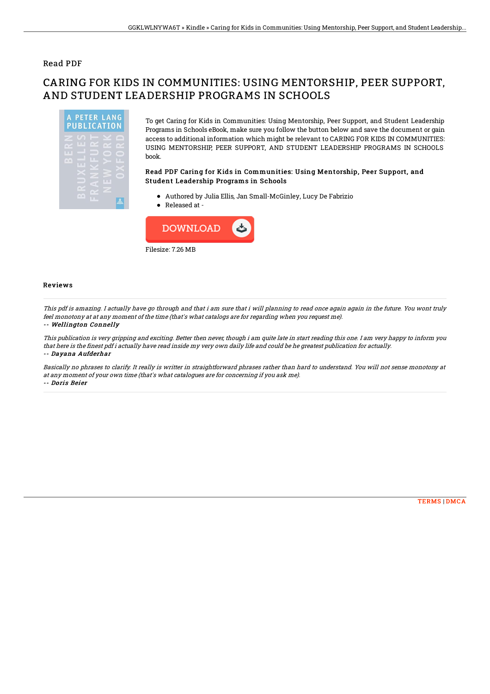### Read PDF

# CARING FOR KIDS IN COMMUNITIES: USING MENTORSHIP, PEER SUPPORT, AND STUDENT LEADERSHIP PROGRAMS IN SCHOOLS



To get Caring for Kids in Communities: Using Mentorship, Peer Support, and Student Leadership Programs in Schools eBook, make sure you follow the button below and save the document or gain access to additional information which might be relevant to CARING FOR KIDS IN COMMUNITIES: USING MENTORSHIP, PEER SUPPORT, AND STUDENT LEADERSHIP PROGRAMS IN SCHOOLS book.

#### Read PDF Caring for Kids in Communities: Using Mentorship, Peer Support, and Student Leadership Programs in Schools

- Authored by Julia Ellis, Jan Small-McGinley, Lucy De Fabrizio
- Released at -



#### Reviews

This pdf is amazing. I actually have go through and that i am sure that i will planning to read once again again in the future. You wont truly feel monotony at at any moment of the time (that's what catalogs are for regarding when you request me). -- Wellington Connelly

This publication is very gripping and exciting. Better then never, though i am quite late in start reading this one. I am very happy to inform you that here is the finest pdf i actually have read inside my very own daily life and could be he greatest publication for actually. -- Dayana Aufderhar

Basically no phrases to clarify. It really is writter in straightforward phrases rather than hard to understand. You will not sense monotony at at any moment of your own time (that's what catalogues are for concerning if you ask me). -- Doris Beier